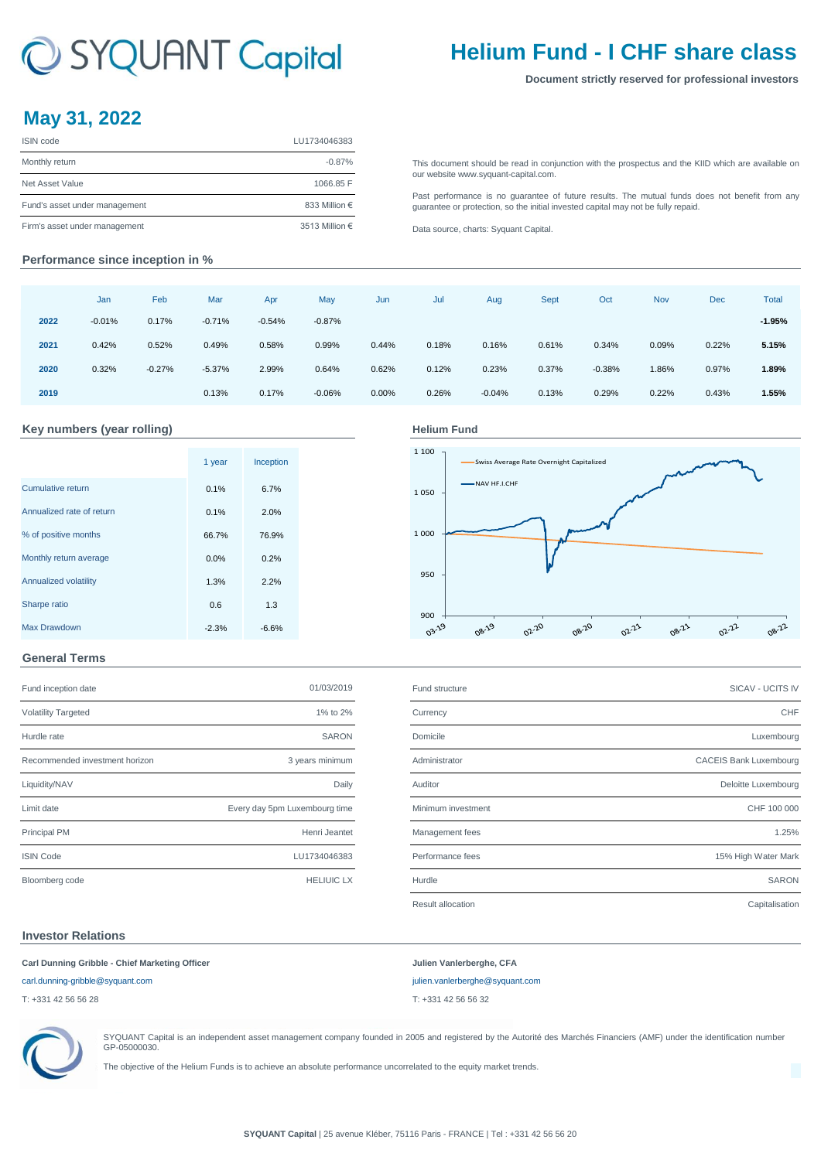# C SYQUANT Capital

## **Helium Fund - I CHF share class**

#### **Document strictly reserved for professional investors**

### **May 31, 2022**

| <b>ISIN</b> code              | LU1734046383   |
|-------------------------------|----------------|
| Monthly return                | $-0.87%$       |
| Net Asset Value               | 1066.85 F      |
| Fund's asset under management | 833 Million €  |
| Firm's asset under management | 3513 Million € |

[This](http://www.syquant-capital.fr/publications-syquant-capital.php) [document](http://www.syquant-capital.fr/publications-syquant-capital.php) [should](http://www.syquant-capital.fr/publications-syquant-capital.php) be read in [conjunction](http://www.syquant-capital.fr/publications-syquant-capital.php) with the prospectus and the KIID which are available on [our website ww](http://www.syquant-capital.fr/publications-syquant-capital.php)w.syquant-capital.com.

[Past](http://www.syquant-capital.fr/publications-syquant-capital.php) [performance](http://www.syquant-capital.fr/publications-syquant-capital.php) is no [guarantee](http://www.syquant-capital.fr/publications-syquant-capital.php) of future results. The mutual funds does not benefit from any [guarantee or p](http://www.syquant-capital.fr/publications-syquant-capital.php)rotection, so the initial invested capital may not be fully repaid.

[Data source, c](http://www.syquant-capital.fr/publications-syquant-capital.php)harts: Syquant Capital.

#### **Performance since inception in %**

|      | Jan      | Feb      | Mar      | Apr      | May      | Jun   | Jul   | Aug      | <b>Sept</b> | Oct      | Nov   | <b>Dec</b> | Total    |
|------|----------|----------|----------|----------|----------|-------|-------|----------|-------------|----------|-------|------------|----------|
| 2022 | $-0.01%$ | 0.17%    | $-0.71%$ | $-0.54%$ | $-0.87%$ |       |       |          |             |          |       |            | $-1.95%$ |
| 2021 | 0.42%    | 0.52%    | 0.49%    | 0.58%    | 0.99%    | 0.44% | 0.18% | 0.16%    | 0.61%       | 0.34%    | 0.09% | 0.22%      | 5.15%    |
| 2020 | 0.32%    | $-0.27%$ | $-5.37%$ | 2.99%    | 0.64%    | 0.62% | 0.12% | 0.23%    | 0.37%       | $-0.38%$ | 1.86% | 0.97%      | 1.89%    |
| 2019 |          |          | 0.13%    | 0.17%    | $-0.06%$ | 0.00% | 0.26% | $-0.04%$ | 0.13%       | 0.29%    | 0.22% | 0.43%      | 1.55%    |

#### Key numbers (year rolling) **Accord Funding Helium Fund**

|                           | 1 year  | Inception |  |
|---------------------------|---------|-----------|--|
| Cumulative return         | 0.1%    | 6.7%      |  |
| Annualized rate of return | 0.1%    | 2.0%      |  |
| % of positive months      | 66.7%   | 76.9%     |  |
| Monthly return average    | 0.0%    | 0.2%      |  |
| Annualized volatility     | 1.3%    | 2.2%      |  |
| Sharpe ratio              | 0.6     | 1.3       |  |
| <b>Max Drawdown</b>       | $-2.3%$ | $-6.6%$   |  |

#### 1 100 Swiss Average Rate Overnight Capitalized NAV HF.I.CHF 1 050 1 000 950 900  $\frac{1}{9}$ 08-19 02-20 08-20 02-21 08-21 02-22 08-22

#### **General Terms**

| Fund inception date            | 01/03/2019                    | Fund structure     | SICAV - UCITS IV              |
|--------------------------------|-------------------------------|--------------------|-------------------------------|
| <b>Volatility Targeted</b>     | 1% to 2%                      | Currency           | <b>CHF</b>                    |
| Hurdle rate                    | <b>SARON</b>                  | Domicile           | Luxembourg                    |
| Recommended investment horizon | 3 years minimum               | Administrator      | <b>CACEIS Bank Luxembourg</b> |
| Liquidity/NAV                  | Daily                         | Auditor            | Deloitte Luxembourg           |
| Limit date                     | Every day 5pm Luxembourg time | Minimum investment | CHF 100 000                   |
| Principal PM                   | Henri Jeantet                 | Management fees    | 1.25%                         |
| <b>ISIN Code</b>               | LU1734046383                  | Performance fees   | 15% High Water Mark           |
| Bloomberg code                 | <b>HELIUIC LX</b>             | Hurdle             | <b>SARON</b>                  |

| , and moophon aalo             | ---------                     | <b>I</b> and on ablance |                               |
|--------------------------------|-------------------------------|-------------------------|-------------------------------|
| <b>Volatility Targeted</b>     | 1% to 2%                      | Currency                | CHF                           |
| Hurdle rate                    | <b>SARON</b>                  | Domicile                | Luxembourg                    |
| Recommended investment horizon | 3 years minimum               | Administrator           | <b>CACEIS Bank Luxembourg</b> |
| Liquidity/NAV                  | Daily                         | Auditor                 | Deloitte Luxembourg           |
| Limit date                     | Every day 5pm Luxembourg time | Minimum investment      | CHF 100 000                   |
| Principal PM                   | Henri Jeantet                 | Management fees         | 1.25%                         |
| <b>ISIN Code</b>               | LU1734046383                  | Performance fees        | 15% High Water Mark           |
| Bloomberg code                 | <b>HELIUIC LX</b>             | Hurdle                  | <b>SARON</b>                  |
|                                |                               | Result allocation       | Capitalisation                |

#### **Investor Relations**

| Carl Dunning Gribble - Chief Marketing Officer | Julien Vanlerberghe, CFA        |
|------------------------------------------------|---------------------------------|
| carl.dunning-gribble@syquant.com               | julien.vanlerberghe@syquant.com |
| T: +331 42 56 56 28                            | T: +331 42 56 56 32             |
|                                                |                                 |



SYQUANT Capital is an independent asset management company founded in 2005 and registered by the Autorité des Marchés Financiers (AMF) under the identification number GP-05000030.

The objective of the Helium Funds is to achieve an absolute performance uncorrelated to the equity market trends.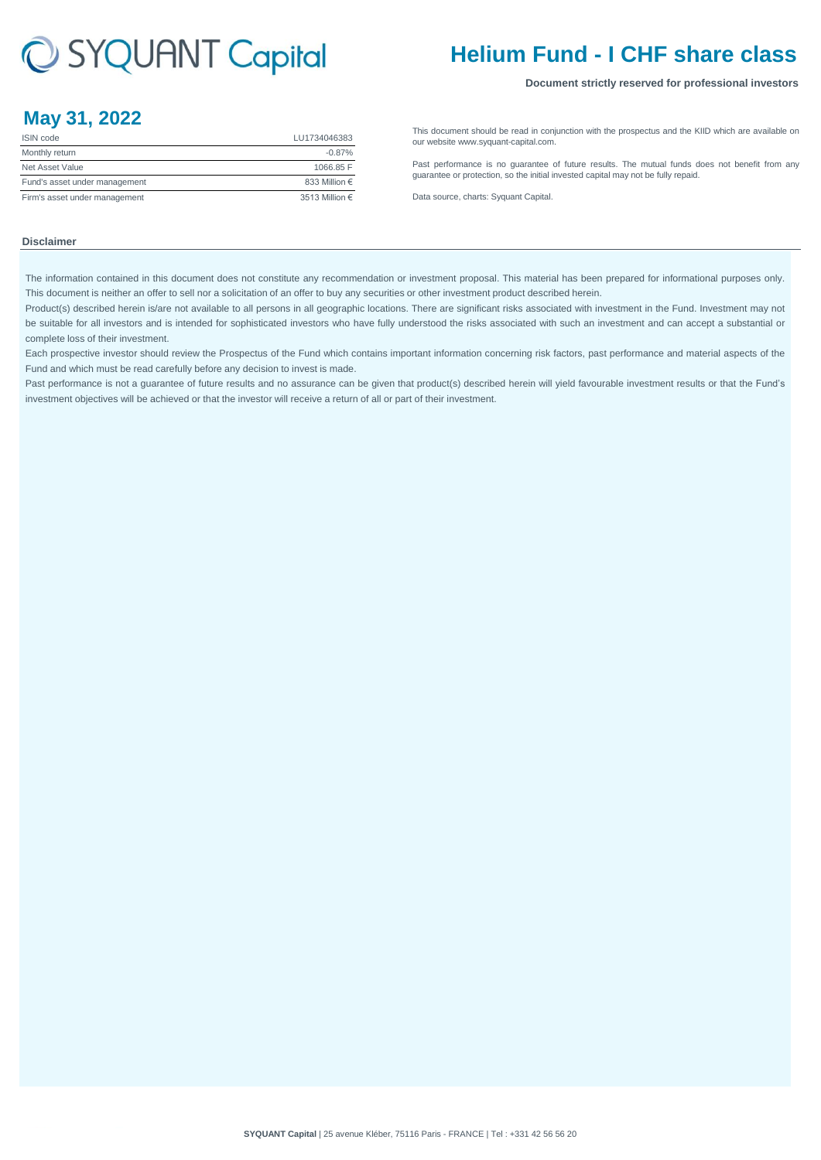# C SYQUANT Capital

## **Helium Fund - I CHF share class**

#### **Document strictly reserved for professional investors**

### **May 31, 2022**

| <b>ISIN</b> code              | LU1734046383           |
|-------------------------------|------------------------|
| Monthly return                | $-0.87%$               |
| Net Asset Value               | 1066.85 F              |
| Fund's asset under management | 833 Million $\epsilon$ |
| Firm's asset under management | 3513 Million €         |

[This](http://www.syquant-capital.fr/publications-syquant-capital.php) [document](http://www.syquant-capital.fr/publications-syquant-capital.php) [should](http://www.syquant-capital.fr/publications-syquant-capital.php) be read in [conjunction](http://www.syquant-capital.fr/publications-syquant-capital.php) with the prospectus and the KIID which are available on [our website ww](http://www.syquant-capital.fr/publications-syquant-capital.php)w.syquant-capital.com.

[Past](http://www.syquant-capital.fr/publications-syquant-capital.php) [performance](http://www.syquant-capital.fr/publications-syquant-capital.php) is no [guarantee](http://www.syquant-capital.fr/publications-syquant-capital.php) of future results. The mutual funds does not benefit from any [guarantee or p](http://www.syquant-capital.fr/publications-syquant-capital.php)rotection, so the initial invested capital may not be fully repaid.

[Data source, c](http://www.syquant-capital.fr/publications-syquant-capital.php)harts: Syquant Capital.

#### **Disclaimer**

The information contained in this document does not constitute any recommendation or investment proposal. This material has been prepared for informational purposes only. This document is neither an offer to sell nor a solicitation of an offer to buy any securities or other investment product described herein.

Product(s) described herein is/are not available to all persons in all geographic locations. There are significant risks associated with investment in the Fund. Investment may not be suitable for all investors and is intended for sophisticated investors who have fully understood the risks associated with such an investment and can accept a substantial or complete loss of their investment.

Each prospective investor should review the Prospectus of the Fund which contains important information concerning risk factors, past performance and material aspects of the Fund and which must be read carefully before any decision to invest is made.

Past performance is not a guarantee of future results and no assurance can be given that product(s) described herein will yield favourable investment results or that the Fund's investment objectives will be achieved or that the investor will receive a return of all or part of their investment.